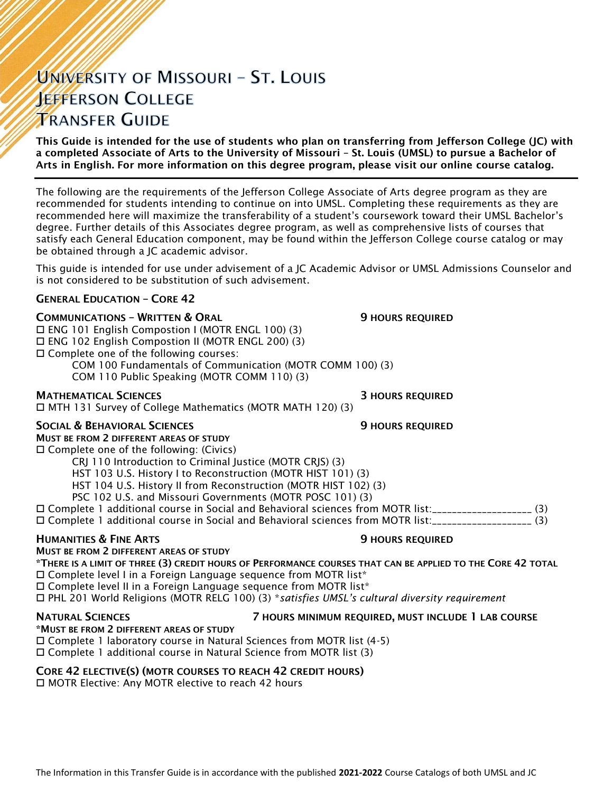# UNIVERSITY OF MISSOURI - ST. LOUIS **JEFFERSON COLLEGE TRANSFER GUIDE**

This Guide is intended for the use of students who plan on transferring from Jefferson College (JC) with a completed Associate of Arts to the University of Missouri – St. Louis (UMSL) to pursue a Bachelor of Arts in English. For more information on this degree program, please visit our online course catalog.

The following are the requirements of the Jefferson College Associate of Arts degree program as they are recommended for students intending to continue on into UMSL. Completing these requirements as they are recommended here will maximize the transferability of a student's coursework toward their UMSL Bachelor's degree. Further details of this Associates degree program, as well as comprehensive lists of courses that satisfy each General Education component, may be found within the Jefferson College course catalog or may be obtained through a JC academic advisor.

This guide is intended for use under advisement of a JC Academic Advisor or UMSL Admissions Counselor and is not considered to be substitution of such advisement.

### GENERAL EDUCATION – CORE 42

### **COMMUNICATIONS - WRITTEN & ORAL 50 COMMUNICATIONS - WRITTEN & ORAL 50 MILLS**

ENG 101 English Compostion I (MOTR ENGL 100) (3)

ENG 102 English Compostion II (MOTR ENGL 200) (3)

Complete one of the following courses:

COM 100 Fundamentals of Communication (MOTR COMM 100) (3)

COM 110 Public Speaking (MOTR COMM 110) (3)

### MATHEMATICAL SCIENCES 3 HOURS REQUIRED

MTH 131 Survey of College Mathematics (MOTR MATH 120) (3)

### SOCIAL & BEHAVIORAL SCIENCES **19 SOCIAL ALCORATIVE SECUPIER SOCIAL AREA**

MUST BE FROM 2 DIFFERENT AREAS OF STUDY

 $\square$  Complete one of the following: (Civics)

CRJ 110 Introduction to Criminal Justice (MOTR CRJS) (3)

HST 103 U.S. History I to Reconstruction (MOTR HIST 101) (3)

HST 104 U.S. History II from Reconstruction (MOTR HIST 102) (3)

PSC 102 U.S. and Missouri Governments (MOTR POSC 101) (3)

Complete 1 additional course in Social and Behavioral sciences from MOTR list:\_\_\_\_\_\_\_\_\_\_\_\_\_\_\_\_\_\_\_\_ (3)

Complete 1 additional course in Social and Behavioral sciences from MOTR list:\_\_\_\_\_\_\_\_\_\_\_\_\_\_\_\_\_\_\_\_ (3)

### **HUMANITIES & FINE ARTS 19 ACCESS 20 HOURS REQUIRED** MUST BE FROM 2 DIFFERENT AREAS OF STUDY

\*THERE IS A LIMIT OF THREE (3) CREDIT HOURS OF PERFORMANCE COURSES THAT CAN BE APPLIED TO THE CORE 42 TOTAL  $\Box$  Complete level I in a Foreign Language sequence from MOTR list\*

□ Complete level II in a Foreign Language sequence from MOTR list\*

PHL 201 World Religions (MOTR RELG 100) (3) \**satisfies UMSL's cultural diversity requirement*

### NATURAL SCIENCES 7 HOURS MINIMUM REQUIRED, MUST INCLUDE 1 LAB COURSE

\*MUST BE FROM 2 DIFFERENT AREAS OF STUDY Complete 1 laboratory course in Natural Sciences from MOTR list (4-5)

Complete 1 additional course in Natural Science from MOTR list (3)

### CORE 42 ELECTIVE(S) (MOTR COURSES TO REACH 42 CREDIT HOURS)

□ MOTR Elective: Any MOTR elective to reach 42 hours